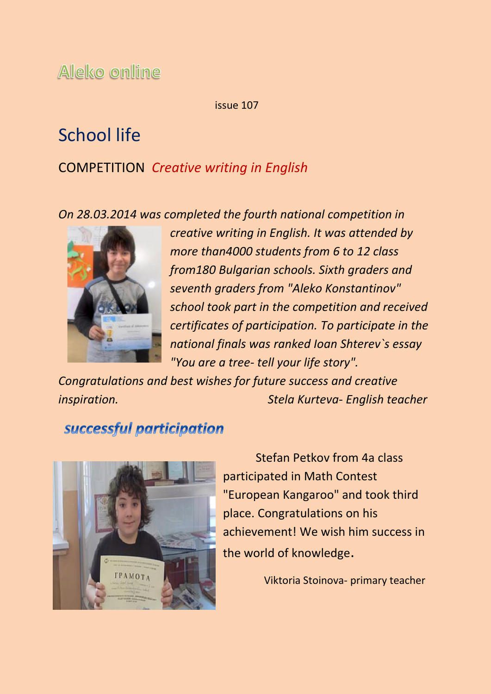Aleko online

issue 107

# School life

### COMPETITION *Creative writing in English*

*On 28.03.2014 was completed the fourth national competition in*



*creative writing in English. It was attended by more than4000 students from 6 to 12 class from180 Bulgarian schools. Sixth graders and seventh graders from "Aleko Konstantinov" school took part in the competition and received certificates of participation. To participate in the national finals was ranked Ioan Shterev`s essay "You are a tree- tell your life story".* 

*Congratulations and best wishes for future success and creative inspiration. Stela Kurteva- English teacher* 

## successful participation



Stefan Petkov from 4a class participated in Math Contest "European Kangaroo" and took third place. Congratulations on his achievement! We wish him success in the world of knowledge.

Viktoria Stoinova- primary teacher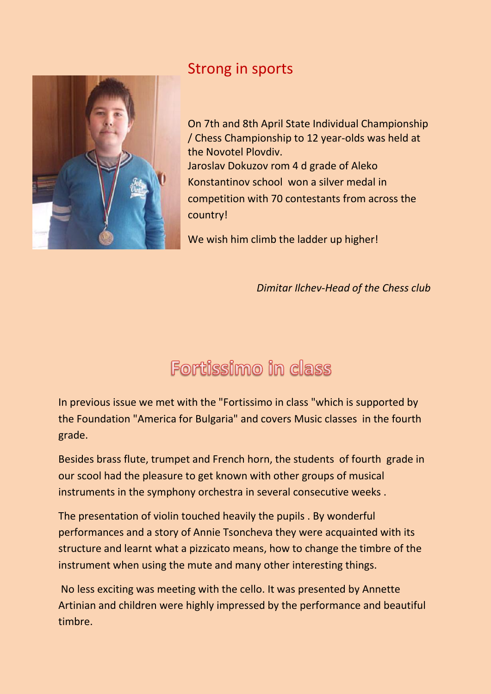

## Strong in sports

On 7th and 8th April State Individual Championship / Chess Championship to 12 year-olds was held at the Novotel Plovdiv. Jaroslav Dokuzov rom 4 d grade of Aleko Konstantinov school won a silver medal in competition with 70 contestants from across the country!

We wish him climb the ladder up higher!

 *Dimitar Ilchev-Head of the Chess club*

# Fortissimo in class

In previous issue we met with the "Fortissimo in class "which is supported by the Foundation "America for Bulgaria" and covers Music classes in the fourth grade.

Besides brass flute, trumpet and French horn, the students of fourth grade in our scool had the pleasure to get known with other groups of musical instruments in the symphony orchestra in several consecutive weeks .

The presentation of violin touched heavily the pupils . By wonderful performances and a story of Annie Tsoncheva they were acquainted with its structure and learnt what a pizzicato means, how to change the timbre of the instrument when using the mute and many other interesting things.

No less exciting was meeting with the cello. It was presented by Annette Artinian and children were highly impressed by the performance and beautiful timbre.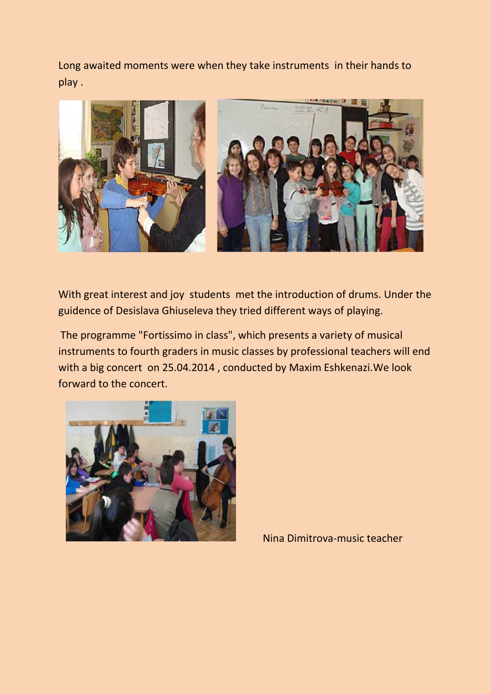Long awaited moments were when they take instruments in their hands to play .



With great interest and joy students met the introduction of drums. Under the guidence of Desislava Ghiuseleva they tried different ways of playing.

The programme "Fortissimo in class", which presents a variety of musical instruments to fourth graders in music classes by professional teachers will end with a big concert on 25.04.2014 , conducted by Maxim Eshkenazi.We look forward to the concert.



Nina Dimitrova-music teacher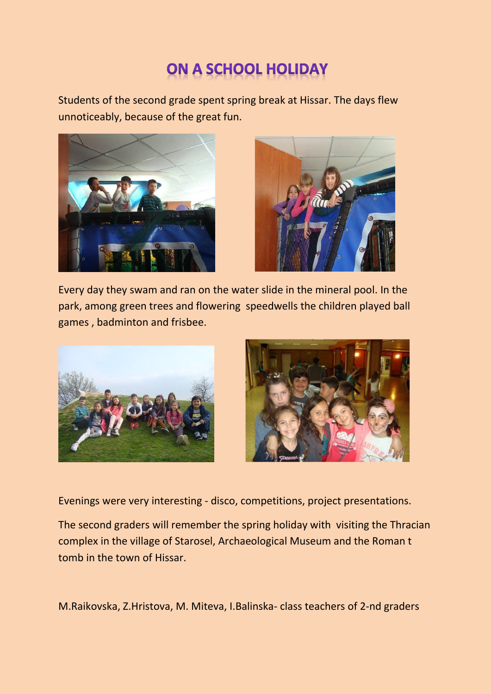## **ON A SCHOOL HOLIDAY**

Students of the second grade spent spring break at Hissar. The days flew unnoticeably, because of the great fun.





Every day they swam and ran on the water slide in the mineral pool. In the park, among green trees and flowering speedwells the children played ball games , badminton and frisbee.



Evenings were very interesting - disco, competitions, project presentations.

The second graders will remember the spring holiday with visiting the Thracian complex in the village of Starosel, Archaeological Museum and the Roman t tomb in the town of Hissar.

M.Raikovska, Z.Hristova, M. Miteva, I.Balinska- class teachers of 2-nd graders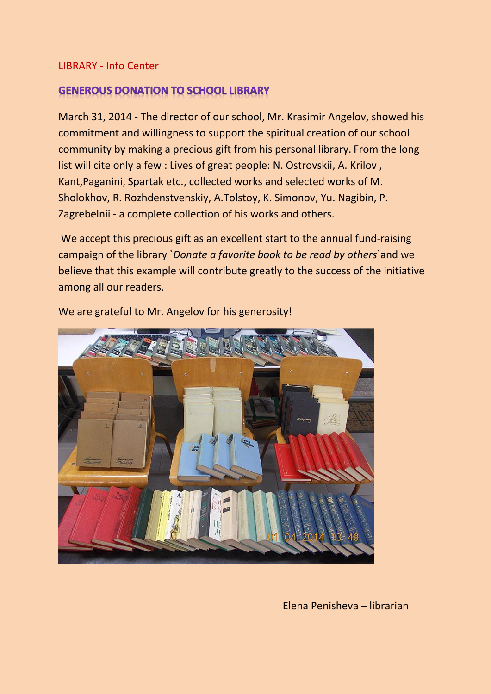#### LIBRARY - Info Center

### **GENEROUS DONATION TO SCHOOL LIBRARY**

March 31, 2014 - The director of our school, Mr. Krasimir Angelov, showed his commitment and willingness to support the spiritual creation of our school community by making a precious gift from his personal library. From the long list will cite only a few : Lives of great people: N. Ostrovskii, A. Krilov , Kant,Paganini, Spartak etc., collected works and selected works of M. Sholokhov, R. Rozhdenstvenskiy, A.Tolstoy, K. Simonov, Yu. Nagibin, P. Zagrebelnii - a complete collection of his works and others.

We accept this precious gift as an excellent start to the annual fund-raising campaign of the library `*Donate a favorite book to be read by others*`and we believe that this example will contribute greatly to the success of the initiative among all our readers.



We are grateful to Mr. Angelov for his generosity!

Elena Penisheva – librarian